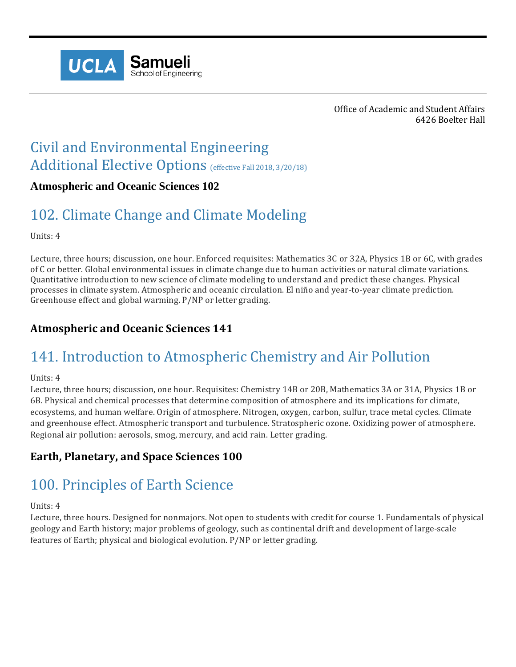

Office of Academic and Student Affairs 6426 Boelter Hall

# Civil and Environmental Engineering Additional Elective Options (effective Fall 2018, 3/20/18)

### **Atmospheric and Oceanic Sciences 102**

## 102. Climate Change and Climate Modeling

Units: 4

Lecture, three hours; discussion, one hour. Enforced requisites: Mathematics 3C or 32A, Physics 1B or 6C, with grades of C or better. Global environmental issues in climate change due to human activities or natural climate variations. Quantitative introduction to new science of climate modeling to understand and predict these changes. Physical processes in climate system. Atmospheric and oceanic circulation. El niño and year-to-year climate prediction. Greenhouse effect and global warming. P/NP or letter grading.

### **Atmospheric and Oceanic Sciences 141**

## 141. Introduction to Atmospheric Chemistry and Air Pollution

Units: 4

Lecture, three hours; discussion, one hour. Requisites: Chemistry 14B or 20B, Mathematics 3A or 31A, Physics 1B or 6B. Physical and chemical processes that determine composition of atmosphere and its implications for climate, ecosystems, and human welfare. Origin of atmosphere. Nitrogen, oxygen, carbon, sulfur, trace metal cycles. Climate and greenhouse effect. Atmospheric transport and turbulence. Stratospheric ozone. Oxidizing power of atmosphere. Regional air pollution: aerosols, smog, mercury, and acid rain. Letter grading.

### **Earth, Planetary, and Space Sciences 100**

## 100. Principles of Earth Science

Units: 4

Lecture, three hours. Designed for nonmajors. Not open to students with credit for course 1. Fundamentals of physical geology and Earth history; major problems of geology, such as continental drift and development of large-scale features of Earth; physical and biological evolution. P/NP or letter grading.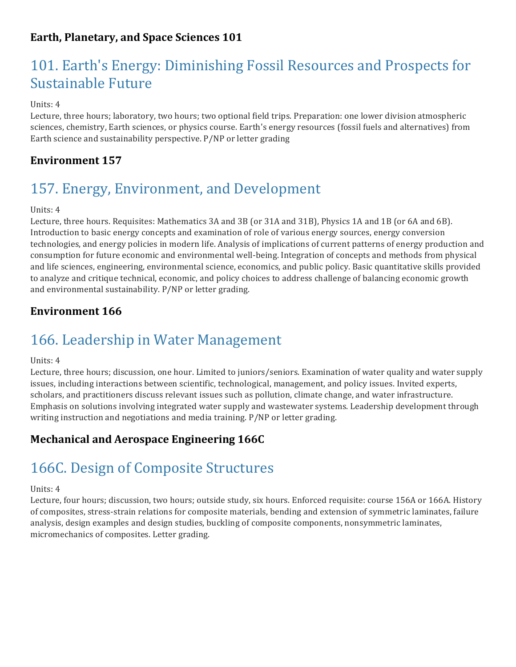## **Earth, Planetary, and Space Sciences 101**

## 101. Earth's Energy: Diminishing Fossil Resources and Prospects for Sustainable Future

#### Units: 4

Lecture, three hours; laboratory, two hours; two optional field trips. Preparation: one lower division atmospheric sciences, chemistry, Earth sciences, or physics course. Earth's energy resources (fossil fuels and alternatives) from Earth science and sustainability perspective. P/NP or letter grading

## **Environment 157**

## 157. Energy, Environment, and Development

#### Units: 4

Lecture, three hours. Requisites: Mathematics 3A and 3B (or 31A and 31B), Physics 1A and 1B (or 6A and 6B). Introduction to basic energy concepts and examination of role of various energy sources, energy conversion technologies, and energy policies in modern life. Analysis of implications of current patterns of energy production and consumption for future economic and environmental well-being. Integration of concepts and methods from physical and life sciences, engineering, environmental science, economics, and public policy. Basic quantitative skills provided to analyze and critique technical, economic, and policy choices to address challenge of balancing economic growth and environmental sustainability. P/NP or letter grading.

### **Environment 166**

## 166. Leadership in Water Management

#### Units: 4

Lecture, three hours; discussion, one hour. Limited to juniors/seniors. Examination of water quality and water supply issues, including interactions between scientific, technological, management, and policy issues. Invited experts, scholars, and practitioners discuss relevant issues such as pollution, climate change, and water infrastructure. Emphasis on solutions involving integrated water supply and wastewater systems. Leadership development through writing instruction and negotiations and media training. P/NP or letter grading.

### **Mechanical and Aerospace Engineering 166C**

## 166C. Design of Composite Structures

#### Units: 4

Lecture, four hours; discussion, two hours; outside study, six hours. Enforced requisite: course 156A or 166A. History of composites, stress-strain relations for composite materials, bending and extension of symmetric laminates, failure analysis, design examples and design studies, buckling of composite components, nonsymmetric laminates, micromechanics of composites. Letter grading.